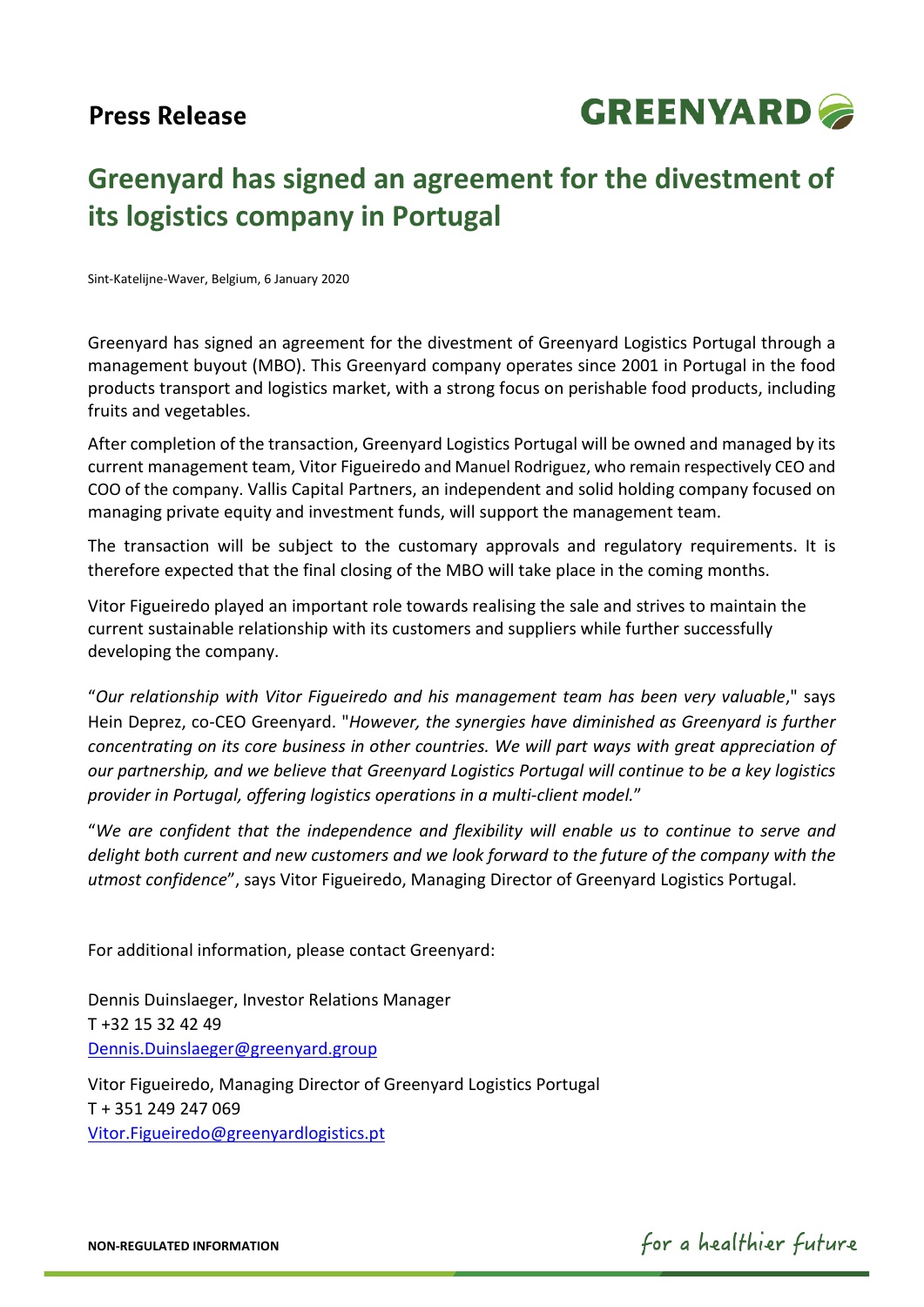# **Press Release**



# **Greenyard has signed an agreement for the divestment of its logistics company in Portugal**

Sint-Katelijne-Waver, Belgium, 6 January 2020

Greenyard has signed an agreement for the divestment of Greenyard Logistics Portugal through a management buyout (MBO). This Greenyard company operates since 2001 in Portugal in the food products transport and logistics market, with a strong focus on perishable food products, including fruits and vegetables.

After completion of the transaction, Greenyard Logistics Portugal will be owned and managed by its current management team, Vitor Figueiredo and Manuel Rodriguez, who remain respectively CEO and COO of the company. Vallis Capital Partners, an independent and solid holding company focused on managing private equity and investment funds, will support the management team.

The transaction will be subject to the customary approvals and regulatory requirements. It is therefore expected that the final closing of the MBO will take place in the coming months.

Vitor Figueiredo played an important role towards realising the sale and strives to maintain the current sustainable relationship with its customers and suppliers while further successfully developing the company.

"*Our relationship with Vitor Figueiredo and his management team has been very valuable*," says Hein Deprez, co-CEO Greenyard. "*However, the synergies have diminished as Greenyard is further concentrating on its core business in other countries. We will part ways with great appreciation of our partnership, and we believe that Greenyard Logistics Portugal will continue to be a key logistics provider in Portugal, offering logistics operations in a multi-client model.*"

"*We are confident that the independence and flexibility will enable us to continue to serve and delight both current and new customers and we look forward to the future of the company with the utmost confidence*", says Vitor Figueiredo, Managing Director of Greenyard Logistics Portugal.

For additional information, please contact Greenyard:

Dennis Duinslaeger, Investor Relations Manager T +32 15 32 42 49 [Dennis.Duinslaeger@greenyard.group](mailto:Dennis.Duinslaeger@greenyard.group)

Vitor Figueiredo, Managing Director of Greenyard Logistics Portugal T + 351 249 247 069 [Vitor.Figueiredo@greenyardlogistics.pt](mailto:Vitor.Figueiredo@greenyardlogistics.pt)

**NON-REGULATED INFORMATION**

for a healthier future